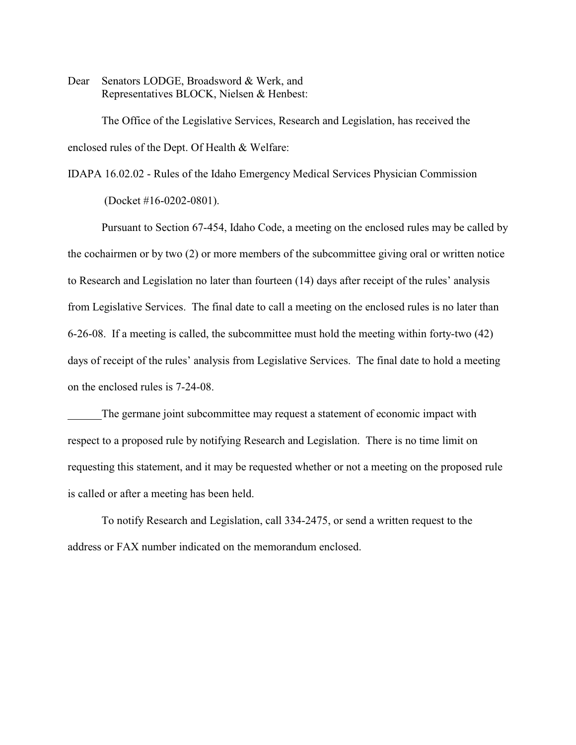Dear Senators LODGE, Broadsword & Werk, and Representatives BLOCK, Nielsen & Henbest:

The Office of the Legislative Services, Research and Legislation, has received the enclosed rules of the Dept. Of Health & Welfare:

IDAPA 16.02.02 - Rules of the Idaho Emergency Medical Services Physician Commission

(Docket #16-0202-0801).

Pursuant to Section 67-454, Idaho Code, a meeting on the enclosed rules may be called by the cochairmen or by two (2) or more members of the subcommittee giving oral or written notice to Research and Legislation no later than fourteen (14) days after receipt of the rules' analysis from Legislative Services. The final date to call a meeting on the enclosed rules is no later than 6-26-08. If a meeting is called, the subcommittee must hold the meeting within forty-two (42) days of receipt of the rules' analysis from Legislative Services. The final date to hold a meeting on the enclosed rules is 7-24-08.

The germane joint subcommittee may request a statement of economic impact with respect to a proposed rule by notifying Research and Legislation. There is no time limit on requesting this statement, and it may be requested whether or not a meeting on the proposed rule is called or after a meeting has been held.

To notify Research and Legislation, call 334-2475, or send a written request to the address or FAX number indicated on the memorandum enclosed.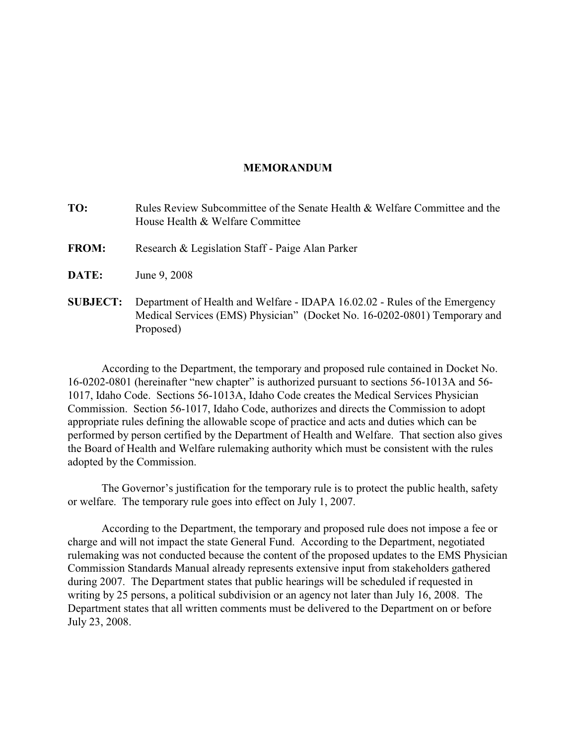#### **MEMORANDUM**

- **TO:** Rules Review Subcommittee of the Senate Health & Welfare Committee and the House Health & Welfare Committee
- **FROM:** Research & Legislation Staff Paige Alan Parker
- **DATE:** June 9, 2008
- **SUBJECT:** Department of Health and Welfare IDAPA 16.02.02 Rules of the Emergency Medical Services (EMS) Physician" (Docket No. 16-0202-0801) Temporary and Proposed)

According to the Department, the temporary and proposed rule contained in Docket No. 16-0202-0801 (hereinafter "new chapter" is authorized pursuant to sections 56-1013A and 56- 1017, Idaho Code. Sections 56-1013A, Idaho Code creates the Medical Services Physician Commission. Section 56-1017, Idaho Code, authorizes and directs the Commission to adopt appropriate rules defining the allowable scope of practice and acts and duties which can be performed by person certified by the Department of Health and Welfare. That section also gives the Board of Health and Welfare rulemaking authority which must be consistent with the rules adopted by the Commission.

The Governor's justification for the temporary rule is to protect the public health, safety or welfare. The temporary rule goes into effect on July 1, 2007.

According to the Department, the temporary and proposed rule does not impose a fee or charge and will not impact the state General Fund. According to the Department, negotiated rulemaking was not conducted because the content of the proposed updates to the EMS Physician Commission Standards Manual already represents extensive input from stakeholders gathered during 2007. The Department states that public hearings will be scheduled if requested in writing by 25 persons, a political subdivision or an agency not later than July 16, 2008. The Department states that all written comments must be delivered to the Department on or before July 23, 2008.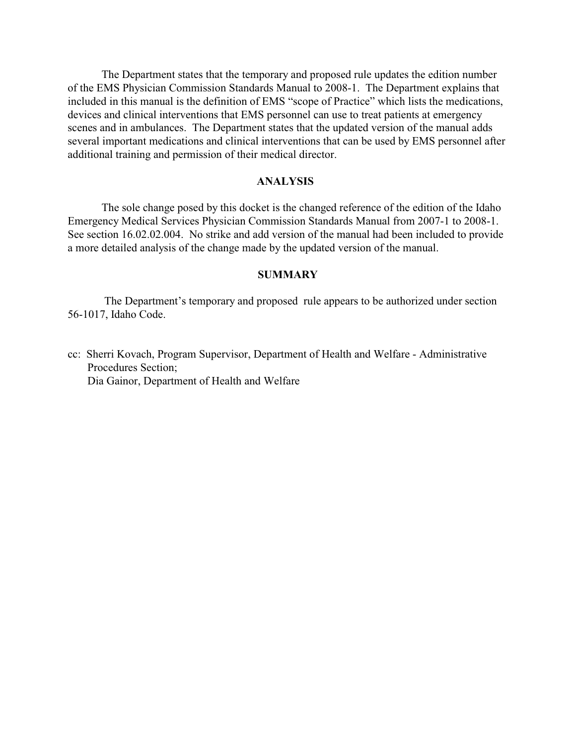The Department states that the temporary and proposed rule updates the edition number of the EMS Physician Commission Standards Manual to 2008-1. The Department explains that included in this manual is the definition of EMS "scope of Practice" which lists the medications, devices and clinical interventions that EMS personnel can use to treat patients at emergency scenes and in ambulances. The Department states that the updated version of the manual adds several important medications and clinical interventions that can be used by EMS personnel after additional training and permission of their medical director.

### **ANALYSIS**

The sole change posed by this docket is the changed reference of the edition of the Idaho Emergency Medical Services Physician Commission Standards Manual from 2007-1 to 2008-1. See section 16.02.02.004. No strike and add version of the manual had been included to provide a more detailed analysis of the change made by the updated version of the manual.

# **SUMMARY**

 The Department's temporary and proposed rule appears to be authorized under section 56-1017, Idaho Code.

cc: Sherri Kovach, Program Supervisor, Department of Health and Welfare - Administrative Procedures Section; Dia Gainor, Department of Health and Welfare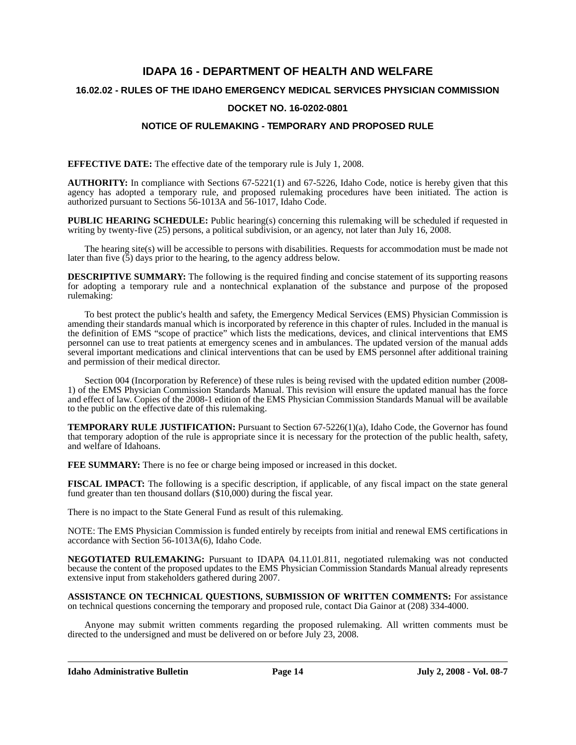# **IDAPA 16 - DEPARTMENT OF HEALTH AND WELFARE 16.02.02 - RULES OF THE IDAHO EMERGENCY MEDICAL SERVICES PHYSICIAN COMMISSION**

### **DOCKET NO. 16-0202-0801**

# **NOTICE OF RULEMAKING - TEMPORARY AND PROPOSED RULE**

**EFFECTIVE DATE:** The effective date of the temporary rule is July 1, 2008.

**AUTHORITY:** In compliance with Sections 67-5221(1) and 67-5226, Idaho Code, notice is hereby given that this agency has adopted a temporary rule, and proposed rulemaking procedures have been initiated. The action is authorized pursuant to Sections 56-1013A and 56-1017, Idaho Code.

**PUBLIC HEARING SCHEDULE:** Public hearing(s) concerning this rulemaking will be scheduled if requested in writing by twenty-five (25) persons, a political subdivision, or an agency, not later than July 16, 2008.

The hearing site(s) will be accessible to persons with disabilities. Requests for accommodation must be made not later than five  $(5)$  days prior to the hearing, to the agency address below.

**DESCRIPTIVE SUMMARY:** The following is the required finding and concise statement of its supporting reasons for adopting a temporary rule and a nontechnical explanation of the substance and purpose of the proposed rulemaking:

To best protect the public's health and safety, the Emergency Medical Services (EMS) Physician Commission is amending their standards manual which is incorporated by reference in this chapter of rules. Included in the manual is the definition of EMS "scope of practice" which lists the medications, devices, and clinical interventions that EMS personnel can use to treat patients at emergency scenes and in ambulances. The updated version of the manual adds several important medications and clinical interventions that can be used by EMS personnel after additional training and permission of their medical director.

Section 004 (Incorporation by Reference) of these rules is being revised with the updated edition number (2008- 1) of the EMS Physician Commission Standards Manual. This revision will ensure the updated manual has the force and effect of law. Copies of the 2008-1 edition of the EMS Physician Commission Standards Manual will be available to the public on the effective date of this rulemaking.

**TEMPORARY RULE JUSTIFICATION:** Pursuant to Section 67-5226(1)(a), Idaho Code, the Governor has found that temporary adoption of the rule is appropriate since it is necessary for the protection of the public health, safety, and welfare of Idahoans.

**FEE SUMMARY:** There is no fee or charge being imposed or increased in this docket.

**FISCAL IMPACT:** The following is a specific description, if applicable, of any fiscal impact on the state general fund greater than ten thousand dollars (\$10,000) during the fiscal year.

There is no impact to the State General Fund as result of this rulemaking.

NOTE: The EMS Physician Commission is funded entirely by receipts from initial and renewal EMS certifications in accordance with Section 56-1013A(6), Idaho Code.

**NEGOTIATED RULEMAKING:** Pursuant to IDAPA 04.11.01.811, negotiated rulemaking was not conducted because the content of the proposed updates to the EMS Physician Commission Standards Manual already represents extensive input from stakeholders gathered during 2007.

**ASSISTANCE ON TECHNICAL QUESTIONS, SUBMISSION OF WRITTEN COMMENTS:** For assistance on technical questions concerning the temporary and proposed rule, contact Dia Gainor at (208) 334-4000.

Anyone may submit written comments regarding the proposed rulemaking. All written comments must be directed to the undersigned and must be delivered on or before July 23, 2008.